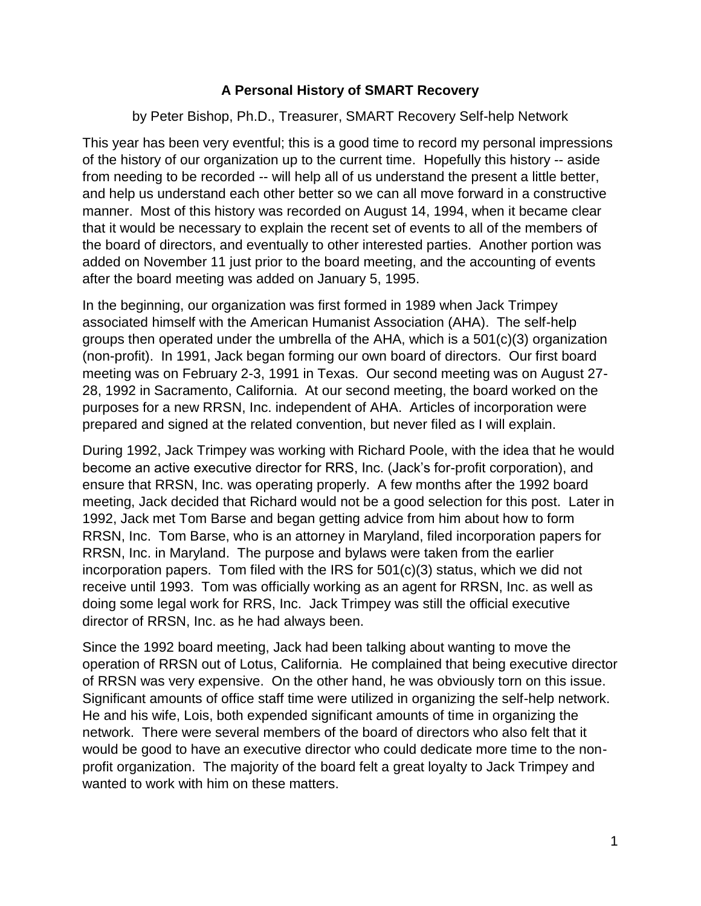## **A Personal History of SMART Recovery**

## by Peter Bishop, Ph.D., Treasurer, SMART Recovery Self-help Network

This year has been very eventful; this is a good time to record my personal impressions of the history of our organization up to the current time. Hopefully this history -- aside from needing to be recorded -- will help all of us understand the present a little better, and help us understand each other better so we can all move forward in a constructive manner. Most of this history was recorded on August 14, 1994, when it became clear that it would be necessary to explain the recent set of events to all of the members of the board of directors, and eventually to other interested parties. Another portion was added on November 11 just prior to the board meeting, and the accounting of events after the board meeting was added on January 5, 1995.

In the beginning, our organization was first formed in 1989 when Jack Trimpey associated himself with the American Humanist Association (AHA). The self-help groups then operated under the umbrella of the AHA, which is a 501(c)(3) organization (non-profit). In 1991, Jack began forming our own board of directors. Our first board meeting was on February 2-3, 1991 in Texas. Our second meeting was on August 27- 28, 1992 in Sacramento, California. At our second meeting, the board worked on the purposes for a new RRSN, Inc. independent of AHA. Articles of incorporation were prepared and signed at the related convention, but never filed as I will explain.

During 1992, Jack Trimpey was working with Richard Poole, with the idea that he would become an active executive director for RRS, Inc. (Jack's for-profit corporation), and ensure that RRSN, Inc. was operating properly. A few months after the 1992 board meeting, Jack decided that Richard would not be a good selection for this post. Later in 1992, Jack met Tom Barse and began getting advice from him about how to form RRSN, Inc. Tom Barse, who is an attorney in Maryland, filed incorporation papers for RRSN, Inc. in Maryland. The purpose and bylaws were taken from the earlier incorporation papers. Tom filed with the IRS for 501(c)(3) status, which we did not receive until 1993. Tom was officially working as an agent for RRSN, Inc. as well as doing some legal work for RRS, Inc. Jack Trimpey was still the official executive director of RRSN, Inc. as he had always been.

Since the 1992 board meeting, Jack had been talking about wanting to move the operation of RRSN out of Lotus, California. He complained that being executive director of RRSN was very expensive. On the other hand, he was obviously torn on this issue. Significant amounts of office staff time were utilized in organizing the self-help network. He and his wife, Lois, both expended significant amounts of time in organizing the network. There were several members of the board of directors who also felt that it would be good to have an executive director who could dedicate more time to the nonprofit organization. The majority of the board felt a great loyalty to Jack Trimpey and wanted to work with him on these matters.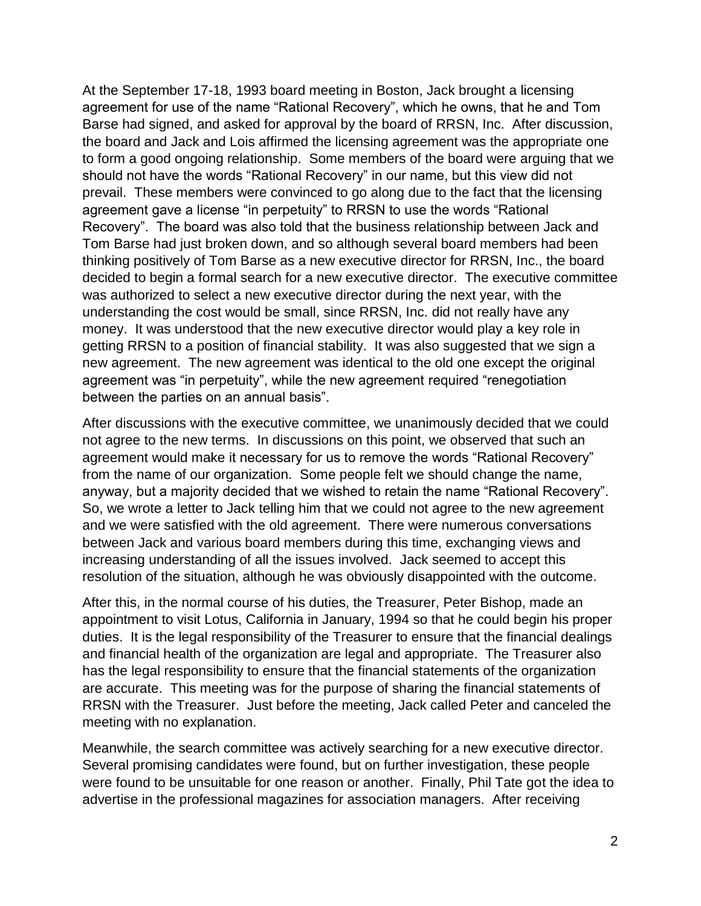At the September 17-18, 1993 board meeting in Boston, Jack brought a licensing agreement for use of the name "Rational Recovery", which he owns, that he and Tom Barse had signed, and asked for approval by the board of RRSN, Inc. After discussion, the board and Jack and Lois affirmed the licensing agreement was the appropriate one to form a good ongoing relationship. Some members of the board were arguing that we should not have the words "Rational Recovery" in our name, but this view did not prevail. These members were convinced to go along due to the fact that the licensing agreement gave a license "in perpetuity" to RRSN to use the words "Rational Recovery". The board was also told that the business relationship between Jack and Tom Barse had just broken down, and so although several board members had been thinking positively of Tom Barse as a new executive director for RRSN, Inc., the board decided to begin a formal search for a new executive director. The executive committee was authorized to select a new executive director during the next year, with the understanding the cost would be small, since RRSN, Inc. did not really have any money. It was understood that the new executive director would play a key role in getting RRSN to a position of financial stability. It was also suggested that we sign a new agreement. The new agreement was identical to the old one except the original agreement was "in perpetuity", while the new agreement required "renegotiation between the parties on an annual basis".

After discussions with the executive committee, we unanimously decided that we could not agree to the new terms. In discussions on this point, we observed that such an agreement would make it necessary for us to remove the words "Rational Recovery" from the name of our organization. Some people felt we should change the name, anyway, but a majority decided that we wished to retain the name "Rational Recovery". So, we wrote a letter to Jack telling him that we could not agree to the new agreement and we were satisfied with the old agreement. There were numerous conversations between Jack and various board members during this time, exchanging views and increasing understanding of all the issues involved. Jack seemed to accept this resolution of the situation, although he was obviously disappointed with the outcome.

After this, in the normal course of his duties, the Treasurer, Peter Bishop, made an appointment to visit Lotus, California in January, 1994 so that he could begin his proper duties. It is the legal responsibility of the Treasurer to ensure that the financial dealings and financial health of the organization are legal and appropriate. The Treasurer also has the legal responsibility to ensure that the financial statements of the organization are accurate. This meeting was for the purpose of sharing the financial statements of RRSN with the Treasurer. Just before the meeting, Jack called Peter and canceled the meeting with no explanation.

Meanwhile, the search committee was actively searching for a new executive director. Several promising candidates were found, but on further investigation, these people were found to be unsuitable for one reason or another. Finally, Phil Tate got the idea to advertise in the professional magazines for association managers. After receiving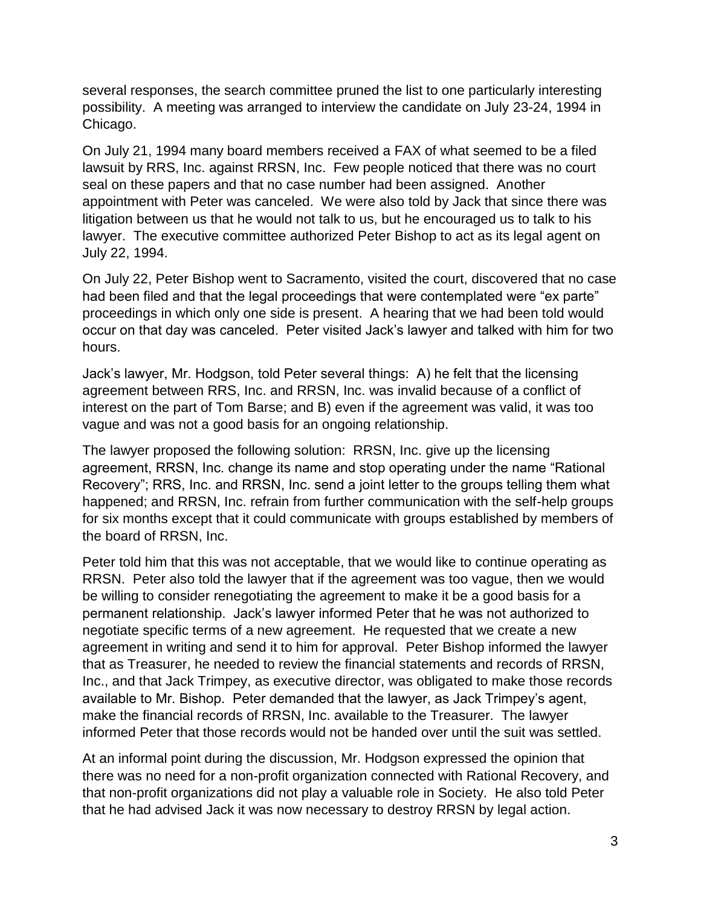several responses, the search committee pruned the list to one particularly interesting possibility. A meeting was arranged to interview the candidate on July 23-24, 1994 in Chicago.

On July 21, 1994 many board members received a FAX of what seemed to be a filed lawsuit by RRS, Inc. against RRSN, Inc. Few people noticed that there was no court seal on these papers and that no case number had been assigned. Another appointment with Peter was canceled. We were also told by Jack that since there was litigation between us that he would not talk to us, but he encouraged us to talk to his lawyer. The executive committee authorized Peter Bishop to act as its legal agent on July 22, 1994.

On July 22, Peter Bishop went to Sacramento, visited the court, discovered that no case had been filed and that the legal proceedings that were contemplated were "ex parte" proceedings in which only one side is present. A hearing that we had been told would occur on that day was canceled. Peter visited Jack's lawyer and talked with him for two hours.

Jack's lawyer, Mr. Hodgson, told Peter several things: A) he felt that the licensing agreement between RRS, Inc. and RRSN, Inc. was invalid because of a conflict of interest on the part of Tom Barse; and B) even if the agreement was valid, it was too vague and was not a good basis for an ongoing relationship.

The lawyer proposed the following solution: RRSN, Inc. give up the licensing agreement, RRSN, Inc. change its name and stop operating under the name "Rational Recovery"; RRS, Inc. and RRSN, Inc. send a joint letter to the groups telling them what happened; and RRSN, Inc. refrain from further communication with the self-help groups for six months except that it could communicate with groups established by members of the board of RRSN, Inc.

Peter told him that this was not acceptable, that we would like to continue operating as RRSN. Peter also told the lawyer that if the agreement was too vague, then we would be willing to consider renegotiating the agreement to make it be a good basis for a permanent relationship. Jack's lawyer informed Peter that he was not authorized to negotiate specific terms of a new agreement. He requested that we create a new agreement in writing and send it to him for approval. Peter Bishop informed the lawyer that as Treasurer, he needed to review the financial statements and records of RRSN, Inc., and that Jack Trimpey, as executive director, was obligated to make those records available to Mr. Bishop. Peter demanded that the lawyer, as Jack Trimpey's agent, make the financial records of RRSN, Inc. available to the Treasurer. The lawyer informed Peter that those records would not be handed over until the suit was settled.

At an informal point during the discussion, Mr. Hodgson expressed the opinion that there was no need for a non-profit organization connected with Rational Recovery, and that non-profit organizations did not play a valuable role in Society. He also told Peter that he had advised Jack it was now necessary to destroy RRSN by legal action.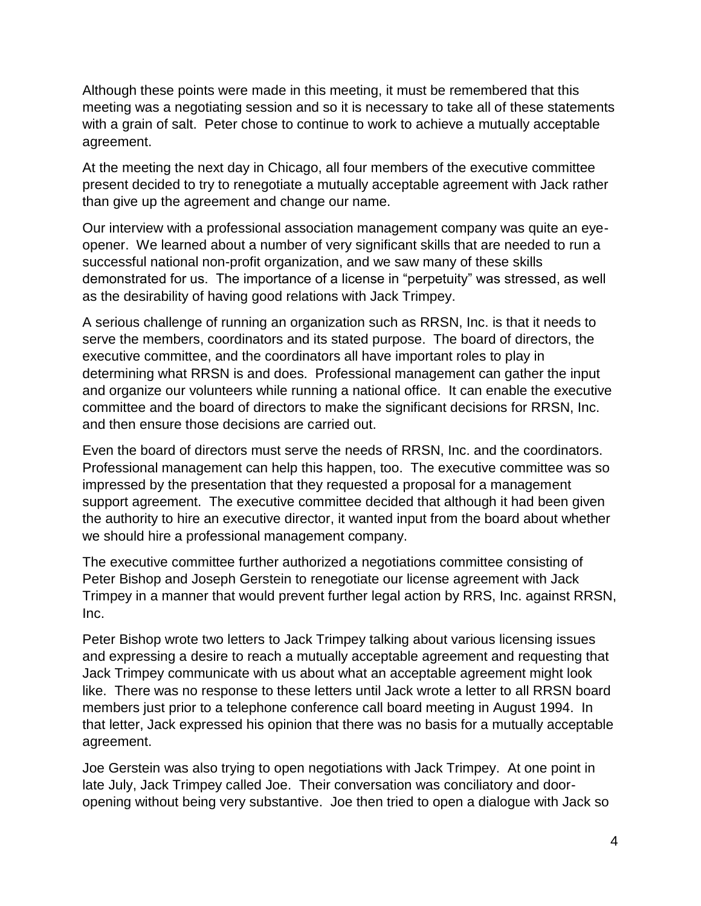Although these points were made in this meeting, it must be remembered that this meeting was a negotiating session and so it is necessary to take all of these statements with a grain of salt. Peter chose to continue to work to achieve a mutually acceptable agreement.

At the meeting the next day in Chicago, all four members of the executive committee present decided to try to renegotiate a mutually acceptable agreement with Jack rather than give up the agreement and change our name.

Our interview with a professional association management company was quite an eyeopener. We learned about a number of very significant skills that are needed to run a successful national non-profit organization, and we saw many of these skills demonstrated for us. The importance of a license in "perpetuity" was stressed, as well as the desirability of having good relations with Jack Trimpey.

A serious challenge of running an organization such as RRSN, Inc. is that it needs to serve the members, coordinators and its stated purpose. The board of directors, the executive committee, and the coordinators all have important roles to play in determining what RRSN is and does. Professional management can gather the input and organize our volunteers while running a national office. It can enable the executive committee and the board of directors to make the significant decisions for RRSN, Inc. and then ensure those decisions are carried out.

Even the board of directors must serve the needs of RRSN, Inc. and the coordinators. Professional management can help this happen, too. The executive committee was so impressed by the presentation that they requested a proposal for a management support agreement. The executive committee decided that although it had been given the authority to hire an executive director, it wanted input from the board about whether we should hire a professional management company.

The executive committee further authorized a negotiations committee consisting of Peter Bishop and Joseph Gerstein to renegotiate our license agreement with Jack Trimpey in a manner that would prevent further legal action by RRS, Inc. against RRSN, Inc.

Peter Bishop wrote two letters to Jack Trimpey talking about various licensing issues and expressing a desire to reach a mutually acceptable agreement and requesting that Jack Trimpey communicate with us about what an acceptable agreement might look like. There was no response to these letters until Jack wrote a letter to all RRSN board members just prior to a telephone conference call board meeting in August 1994. In that letter, Jack expressed his opinion that there was no basis for a mutually acceptable agreement.

Joe Gerstein was also trying to open negotiations with Jack Trimpey. At one point in late July, Jack Trimpey called Joe. Their conversation was conciliatory and dooropening without being very substantive. Joe then tried to open a dialogue with Jack so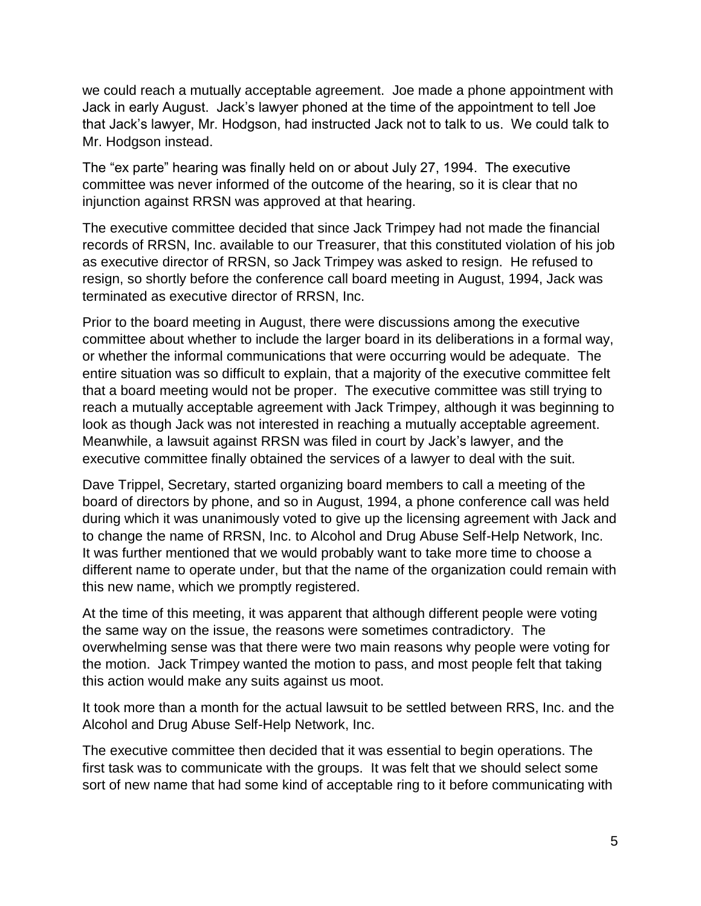we could reach a mutually acceptable agreement. Joe made a phone appointment with Jack in early August. Jack's lawyer phoned at the time of the appointment to tell Joe that Jack's lawyer, Mr. Hodgson, had instructed Jack not to talk to us. We could talk to Mr. Hodgson instead.

The "ex parte" hearing was finally held on or about July 27, 1994. The executive committee was never informed of the outcome of the hearing, so it is clear that no injunction against RRSN was approved at that hearing.

The executive committee decided that since Jack Trimpey had not made the financial records of RRSN, Inc. available to our Treasurer, that this constituted violation of his job as executive director of RRSN, so Jack Trimpey was asked to resign. He refused to resign, so shortly before the conference call board meeting in August, 1994, Jack was terminated as executive director of RRSN, Inc.

Prior to the board meeting in August, there were discussions among the executive committee about whether to include the larger board in its deliberations in a formal way, or whether the informal communications that were occurring would be adequate. The entire situation was so difficult to explain, that a majority of the executive committee felt that a board meeting would not be proper. The executive committee was still trying to reach a mutually acceptable agreement with Jack Trimpey, although it was beginning to look as though Jack was not interested in reaching a mutually acceptable agreement. Meanwhile, a lawsuit against RRSN was filed in court by Jack's lawyer, and the executive committee finally obtained the services of a lawyer to deal with the suit.

Dave Trippel, Secretary, started organizing board members to call a meeting of the board of directors by phone, and so in August, 1994, a phone conference call was held during which it was unanimously voted to give up the licensing agreement with Jack and to change the name of RRSN, Inc. to Alcohol and Drug Abuse Self-Help Network, Inc. It was further mentioned that we would probably want to take more time to choose a different name to operate under, but that the name of the organization could remain with this new name, which we promptly registered.

At the time of this meeting, it was apparent that although different people were voting the same way on the issue, the reasons were sometimes contradictory. The overwhelming sense was that there were two main reasons why people were voting for the motion. Jack Trimpey wanted the motion to pass, and most people felt that taking this action would make any suits against us moot.

It took more than a month for the actual lawsuit to be settled between RRS, Inc. and the Alcohol and Drug Abuse Self-Help Network, Inc.

The executive committee then decided that it was essential to begin operations. The first task was to communicate with the groups. It was felt that we should select some sort of new name that had some kind of acceptable ring to it before communicating with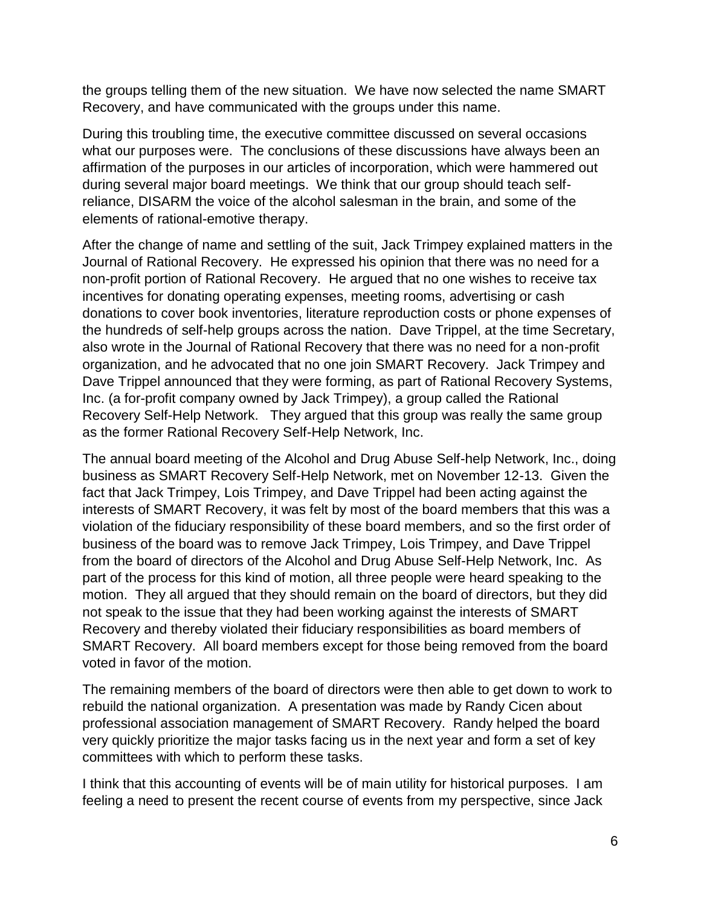the groups telling them of the new situation. We have now selected the name SMART Recovery, and have communicated with the groups under this name.

During this troubling time, the executive committee discussed on several occasions what our purposes were. The conclusions of these discussions have always been an affirmation of the purposes in our articles of incorporation, which were hammered out during several major board meetings. We think that our group should teach selfreliance, DISARM the voice of the alcohol salesman in the brain, and some of the elements of rational-emotive therapy.

After the change of name and settling of the suit, Jack Trimpey explained matters in the Journal of Rational Recovery. He expressed his opinion that there was no need for a non-profit portion of Rational Recovery. He argued that no one wishes to receive tax incentives for donating operating expenses, meeting rooms, advertising or cash donations to cover book inventories, literature reproduction costs or phone expenses of the hundreds of self-help groups across the nation. Dave Trippel, at the time Secretary, also wrote in the Journal of Rational Recovery that there was no need for a non-profit organization, and he advocated that no one join SMART Recovery. Jack Trimpey and Dave Trippel announced that they were forming, as part of Rational Recovery Systems, Inc. (a for-profit company owned by Jack Trimpey), a group called the Rational Recovery Self-Help Network. They argued that this group was really the same group as the former Rational Recovery Self-Help Network, Inc.

The annual board meeting of the Alcohol and Drug Abuse Self-help Network, Inc., doing business as SMART Recovery Self-Help Network, met on November 12-13. Given the fact that Jack Trimpey, Lois Trimpey, and Dave Trippel had been acting against the interests of SMART Recovery, it was felt by most of the board members that this was a violation of the fiduciary responsibility of these board members, and so the first order of business of the board was to remove Jack Trimpey, Lois Trimpey, and Dave Trippel from the board of directors of the Alcohol and Drug Abuse Self-Help Network, Inc. As part of the process for this kind of motion, all three people were heard speaking to the motion. They all argued that they should remain on the board of directors, but they did not speak to the issue that they had been working against the interests of SMART Recovery and thereby violated their fiduciary responsibilities as board members of SMART Recovery. All board members except for those being removed from the board voted in favor of the motion.

The remaining members of the board of directors were then able to get down to work to rebuild the national organization. A presentation was made by Randy Cicen about professional association management of SMART Recovery. Randy helped the board very quickly prioritize the major tasks facing us in the next year and form a set of key committees with which to perform these tasks.

I think that this accounting of events will be of main utility for historical purposes. I am feeling a need to present the recent course of events from my perspective, since Jack